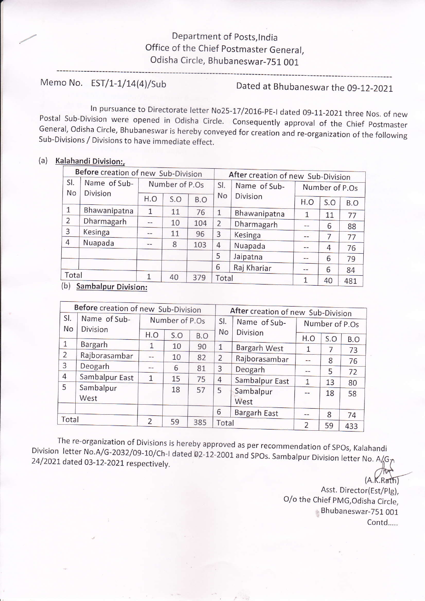## Department of posts,lndia Office of the Chief postmaster General, Odisha Circle, Bhubaneswar-751 OO1

Memo No. EST/1-1/14(4)/Sub Dated at Bhubaneswar the 09-12-2021

ln pursuance to Directorate letter No25-17/2016-pE-l dated 09-11-2021 three Nos. of new Postal sub-Division were opened in odisha circle. consequently approval of the chief postmaster General, Odisha Circle, Bhubaneswar is hereby conveyed for creation and re-organization of the following<br>Sub-Divisions / Divisions to have immediate effect.

## (a) Kalahandi Division:

| Before creation of new Sub-Division |                                 |                |     |     | After creation of new Sub-Division |                 |                |     |     |
|-------------------------------------|---------------------------------|----------------|-----|-----|------------------------------------|-----------------|----------------|-----|-----|
| SI.<br><b>No</b>                    | Name of Sub-<br><b>Division</b> | Number of P.Os |     |     | SI.                                | Name of Sub-    | Number of P.Os |     |     |
|                                     |                                 | H.O            | S.O | B.O | No                                 | <b>Division</b> | H.O            | S.O | B.O |
| $\mathbf{1}$                        | Bhawanipatna                    | 1              | 11  | 76  | 1                                  | Bhawanipatna    | 1              | 11  | 77  |
| $\overline{2}$                      | Dharmagarh                      | --             | 10  | 104 | $\overline{2}$                     | Dharmagarh      | $-$            | 6   | 88  |
| 3                                   | Kesinga                         |                | 11  | 96  | 3                                  | Kesinga         | --             | 7   | 77  |
| 4                                   | Nuapada                         | $- -$          | 8   | 103 | 4                                  | Nuapada         | --             | 4   | 76  |
|                                     |                                 |                |     |     | 5                                  | Jaipatna        | --             | 6   | 79  |
|                                     |                                 |                |     |     | 6                                  | Raj Khariar     | --             | 6   | 84  |
|                                     | Total                           |                | 40  | 379 | Total                              |                 | 1              | 40  | 481 |
| (b)                                 | <b>Sambalpur Division:</b>      |                |     |     |                                    |                 |                |     |     |

| Before creation of new Sub-Division |                                 |                |     |     | After creation of new Sub-Division |                     |                |     |     |
|-------------------------------------|---------------------------------|----------------|-----|-----|------------------------------------|---------------------|----------------|-----|-----|
| SI.<br><b>No</b>                    | Name of Sub-<br><b>Division</b> | Number of P.Os |     |     | SI.                                | Name of Sub-        | Number of P.Os |     |     |
|                                     |                                 | H.O            | S.O | B.O | No                                 | <b>Division</b>     | H.O            | S.O | B.O |
| $\mathbf{1}$                        | Bargarh                         | $\mathbf{1}$   | 10  | 90  | $\mathbf{1}$                       | Bargarh West        | $\mathbf{1}$   | 7   | 73  |
| $\overline{2}$                      | Rajborasambar                   | $-$            | 10  | 82  | $\overline{2}$                     | Rajborasambar       | $-$            | 8   | 76  |
| 3                                   | Deogarh                         | $-$            | 6   | 81  | 3                                  | Deogarh             | $- -$          | 5   | 72  |
| $\overline{4}$                      | Sambalpur East                  | 1              | 15  | 75  | 4                                  | Sambalpur East      | 1              | 13  | 80  |
| 5                                   | Sambalpur<br>West               |                | 18  | 57  | 5                                  | Sambalpur<br>West   | $-$            | 18  | 58  |
|                                     |                                 |                |     |     | 6                                  | <b>Bargarh East</b> | --             | 8   | 74  |
| Total                               |                                 | $\overline{2}$ | 59  | 385 | Total                              |                     | $\overline{2}$ | 59  | 433 |

Division The re-organization of Divisions is hereby approved as per recommendation of SPOs, Kalahandi<br>Division letter No.A/G-2032/09-10/Ch-I dated 02-12-2001 and SPOs. Sambalpur Division letter No. A/G7<br>7 1/ 24/2021 dated 03-12-202  $#$ 

 $(A.K.Rath)$ Asst. Director(Est/plg), O/o the Chief pMG,Odisha Circle, Bhubaneswar-751 001 Contd.....